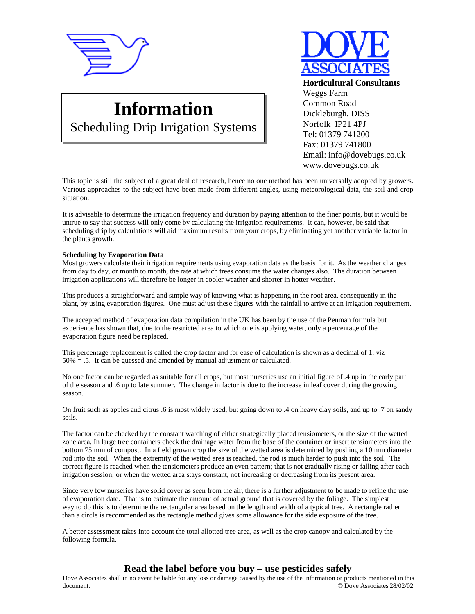

# **Information**

Scheduling Drip Irrigation Systems

**Horticultural Consultants** Weggs Farm Common Road Dickleburgh, DISS Norfolk IP21 4PJ Tel: 01379 741200 Fax: 01379 741800 Email: [info@dovebugs.co.uk](mailto:info@dovebugs.co.uk) [www.dovebugs.co.uk](http://www.dovebugs.co.uk)

This topic is still the subject of a great deal of research, hence no one method has been universally adopted by growers. Various approaches to the subject have been made from different angles, using meteorological data, the soil and crop situation.

It is advisable to determine the irrigation frequency and duration by paying attention to the finer points, but it would be untrue to say that success will only come by calculating the irrigation requirements. It can, however, be said that scheduling drip by calculations will aid maximum results from your crops, by eliminating yet another variable factor in the plants growth.

#### **Scheduling by Evaporation Data**

Most growers calculate their irrigation requirements using evaporation data as the basis for it. As the weather changes from day to day, or month to month, the rate at which trees consume the water changes also. The duration between irrigation applications will therefore be longer in cooler weather and shorter in hotter weather.

This produces a straightforward and simple way of knowing what is happening in the root area, consequently in the plant, by using evaporation figures. One must adjust these figures with the rainfall to arrive at an irrigation requirement.

The accepted method of evaporation data compilation in the UK has been by the use of the Penman formula but experience has shown that, due to the restricted area to which one is applying water, only a percentage of the evaporation figure need be replaced.

This percentage replacement is called the crop factor and for ease of calculation is shown as a decimal of 1, viz  $50\% = .5$ . It can be guessed and amended by manual adjustment or calculated.

No one factor can be regarded as suitable for all crops, but most nurseries use an initial figure of .4 up in the early part of the season and .6 up to late summer. The change in factor is due to the increase in leaf cover during the growing season.

On fruit such as apples and citrus .6 is most widely used, but going down to .4 on heavy clay soils, and up to .7 on sandy soils.

The factor can be checked by the constant watching of either strategically placed tensiometers, or the size of the wetted zone area. In large tree containers check the drainage water from the base of the container or insert tensiometers into the bottom 75 mm of compost. In a field grown crop the size of the wetted area is determined by pushing a 10 mm diameter rod into the soil. When the extremity of the wetted area is reached, the rod is much harder to push into the soil. The correct figure is reached when the tensiometers produce an even pattern; that is not gradually rising or falling after each irrigation session; or when the wetted area stays constant, not increasing or decreasing from its present area.

Since very few nurseries have solid cover as seen from the air, there is a further adjustment to be made to refine the use of evaporation date. That is to estimate the amount of actual ground that is covered by the foliage. The simplest way to do this is to determine the rectangular area based on the length and width of a typical tree. A rectangle rather than a circle is recommended as the rectangle method gives some allowance for the side exposure of the tree.

A better assessment takes into account the total allotted tree area, as well as the crop canopy and calculated by the following formula.

## **Read the label before you buy – use pesticides safely**

Dove Associates shall in no event be liable for any loss or damage caused by the use of the information or products mentioned in this document. © Dove Associates 28/02/02